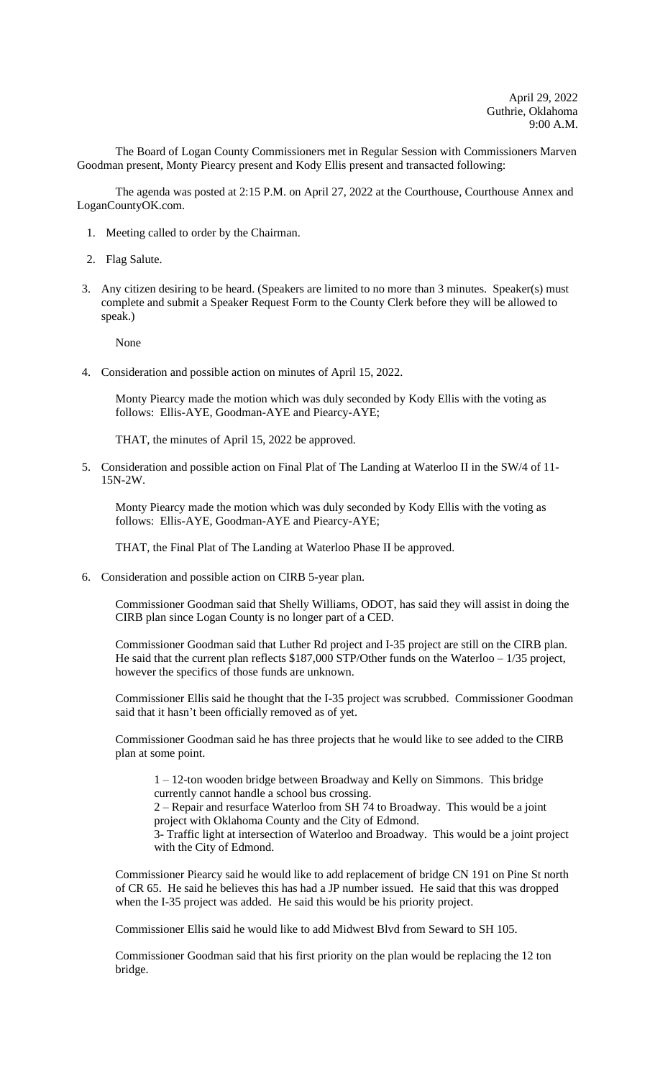The Board of Logan County Commissioners met in Regular Session with Commissioners Marven Goodman present, Monty Piearcy present and Kody Ellis present and transacted following:

The agenda was posted at 2:15 P.M. on April 27, 2022 at the Courthouse, Courthouse Annex and LoganCountyOK.com.

- 1. Meeting called to order by the Chairman.
- 2. Flag Salute.
- 3. Any citizen desiring to be heard. (Speakers are limited to no more than 3 minutes. Speaker(s) must complete and submit a Speaker Request Form to the County Clerk before they will be allowed to speak.)

None

4. Consideration and possible action on minutes of April 15, 2022.

Monty Piearcy made the motion which was duly seconded by Kody Ellis with the voting as follows: Ellis-AYE, Goodman-AYE and Piearcy-AYE;

THAT, the minutes of April 15, 2022 be approved.

5. Consideration and possible action on Final Plat of The Landing at Waterloo II in the SW/4 of 11- 15N-2W.

Monty Piearcy made the motion which was duly seconded by Kody Ellis with the voting as follows: Ellis-AYE, Goodman-AYE and Piearcy-AYE;

THAT, the Final Plat of The Landing at Waterloo Phase II be approved.

6. Consideration and possible action on CIRB 5-year plan.

Commissioner Goodman said that Shelly Williams, ODOT, has said they will assist in doing the CIRB plan since Logan County is no longer part of a CED.

Commissioner Goodman said that Luther Rd project and I-35 project are still on the CIRB plan. He said that the current plan reflects \$187,000 STP/Other funds on the Waterloo - 1/35 project, however the specifics of those funds are unknown.

Commissioner Ellis said he thought that the I-35 project was scrubbed. Commissioner Goodman said that it hasn't been officially removed as of yet.

Commissioner Goodman said he has three projects that he would like to see added to the CIRB plan at some point.

1 – 12-ton wooden bridge between Broadway and Kelly on Simmons. This bridge currently cannot handle a school bus crossing.

2 – Repair and resurface Waterloo from SH 74 to Broadway. This would be a joint project with Oklahoma County and the City of Edmond.

3- Traffic light at intersection of Waterloo and Broadway. This would be a joint project with the City of Edmond.

Commissioner Piearcy said he would like to add replacement of bridge CN 191 on Pine St north of CR 65. He said he believes this has had a JP number issued. He said that this was dropped when the I-35 project was added. He said this would be his priority project.

Commissioner Ellis said he would like to add Midwest Blvd from Seward to SH 105.

Commissioner Goodman said that his first priority on the plan would be replacing the 12 ton bridge.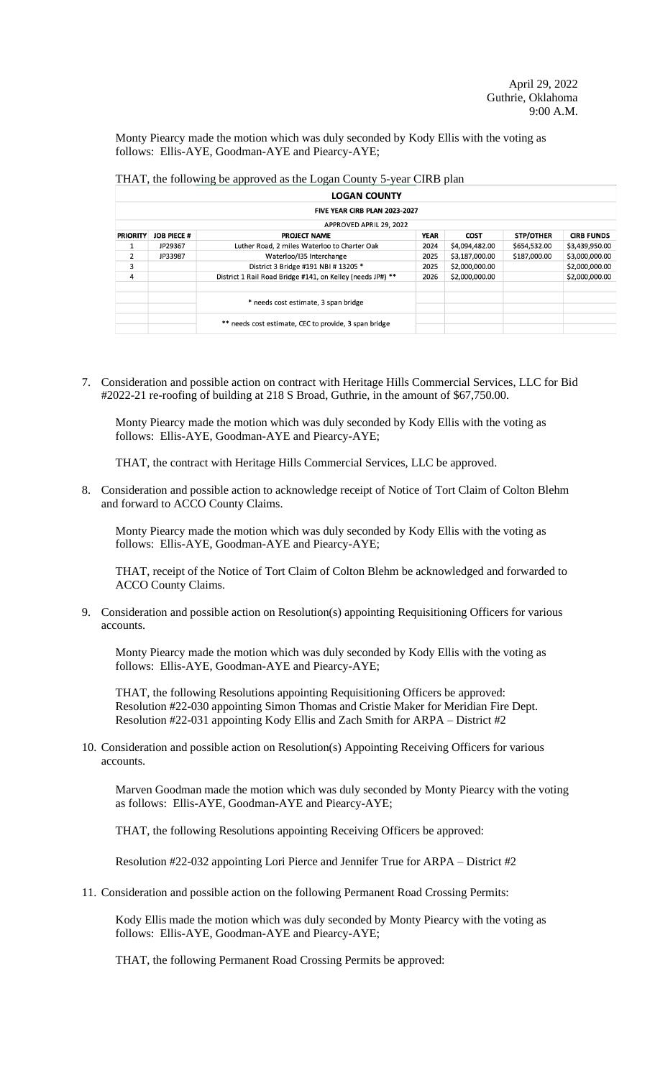Monty Piearcy made the motion which was duly seconded by Kody Ellis with the voting as follows: Ellis-AYE, Goodman-AYE and Piearcy-AYE;

THAT, the following be approved as the Logan County 5-year CIRB plan

|                 |                                     | <b>LOGAN COUNTY</b>                                        |             |                |                  |                   |  |  |  |  |  |
|-----------------|-------------------------------------|------------------------------------------------------------|-------------|----------------|------------------|-------------------|--|--|--|--|--|
|                 |                                     | FIVE YEAR CIRB PLAN 2023-2027                              |             |                |                  |                   |  |  |  |  |  |
|                 | APPROVED APRIL 29, 2022             |                                                            |             |                |                  |                   |  |  |  |  |  |
| <b>PRIORITY</b> | <b>JOB PIECE #</b>                  | <b>PROJECT NAME</b>                                        | <b>YEAR</b> | <b>COST</b>    | <b>STP/OTHER</b> | <b>CIRB FUNDS</b> |  |  |  |  |  |
|                 | JP29367                             | Luther Road, 2 miles Waterloo to Charter Oak               | 2024        | \$4,094,482.00 | \$654,532.00     | \$3,439,950.00    |  |  |  |  |  |
| $\overline{2}$  | Waterloo/135 Interchange<br>JP33987 |                                                            | 2025        | \$3,187,000.00 | \$187,000.00     | \$3,000,000.00    |  |  |  |  |  |
| 3               |                                     | District 3 Bridge #191 NBI # 13205 *                       | 2025        | \$2,000,000.00 |                  | \$2,000,000.00    |  |  |  |  |  |
| 4               |                                     | District 1 Rail Road Bridge #141, on Kelley (needs JP#) ** | 2026        | \$2,000,000.00 |                  | \$2,000,000.00    |  |  |  |  |  |
|                 |                                     |                                                            |             |                |                  |                   |  |  |  |  |  |
|                 |                                     | * needs cost estimate, 3 span bridge                       |             |                |                  |                   |  |  |  |  |  |
|                 |                                     |                                                            |             |                |                  |                   |  |  |  |  |  |
|                 |                                     | ** needs cost estimate, CEC to provide, 3 span bridge      |             |                |                  |                   |  |  |  |  |  |
|                 |                                     |                                                            |             |                |                  |                   |  |  |  |  |  |

7. Consideration and possible action on contract with Heritage Hills Commercial Services, LLC for Bid #2022-21 re-roofing of building at 218 S Broad, Guthrie, in the amount of \$67,750.00.

Monty Piearcy made the motion which was duly seconded by Kody Ellis with the voting as follows: Ellis-AYE, Goodman-AYE and Piearcy-AYE;

THAT, the contract with Heritage Hills Commercial Services, LLC be approved.

8. Consideration and possible action to acknowledge receipt of Notice of Tort Claim of Colton Blehm and forward to ACCO County Claims.

Monty Piearcy made the motion which was duly seconded by Kody Ellis with the voting as follows: Ellis-AYE, Goodman-AYE and Piearcy-AYE;

THAT, receipt of the Notice of Tort Claim of Colton Blehm be acknowledged and forwarded to ACCO County Claims.

9. Consideration and possible action on Resolution(s) appointing Requisitioning Officers for various accounts.

Monty Piearcy made the motion which was duly seconded by Kody Ellis with the voting as follows: Ellis-AYE, Goodman-AYE and Piearcy-AYE;

THAT, the following Resolutions appointing Requisitioning Officers be approved: Resolution #22-030 appointing Simon Thomas and Cristie Maker for Meridian Fire Dept. Resolution #22-031 appointing Kody Ellis and Zach Smith for ARPA – District #2

10. Consideration and possible action on Resolution(s) Appointing Receiving Officers for various accounts.

Marven Goodman made the motion which was duly seconded by Monty Piearcy with the voting as follows: Ellis-AYE, Goodman-AYE and Piearcy-AYE;

THAT, the following Resolutions appointing Receiving Officers be approved:

Resolution #22-032 appointing Lori Pierce and Jennifer True for ARPA – District #2

11. Consideration and possible action on the following Permanent Road Crossing Permits:

Kody Ellis made the motion which was duly seconded by Monty Piearcy with the voting as follows: Ellis-AYE, Goodman-AYE and Piearcy-AYE;

THAT, the following Permanent Road Crossing Permits be approved: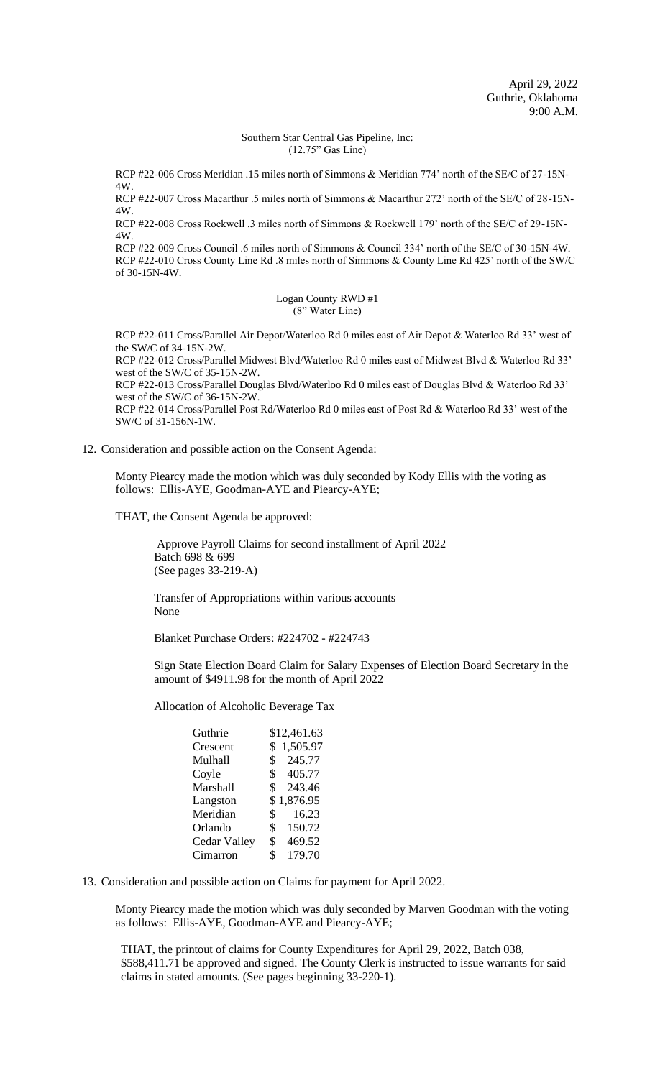## Southern Star Central Gas Pipeline, Inc: (12.75" Gas Line)

RCP #22-006 Cross Meridian .15 miles north of Simmons & Meridian 774' north of the SE/C of 27-15N-4W.

RCP #22-007 Cross Macarthur .5 miles north of Simmons & Macarthur 272' north of the SE/C of 28-15N-4W.

RCP #22-008 Cross Rockwell .3 miles north of Simmons & Rockwell 179' north of the SE/C of 29-15N-4W.

RCP #22-009 Cross Council .6 miles north of Simmons & Council 334' north of the SE/C of 30-15N-4W. RCP #22-010 Cross County Line Rd .8 miles north of Simmons & County Line Rd 425' north of the SW/C of 30-15N-4W.

> Logan County RWD #1 (8" Water Line)

RCP #22-011 Cross/Parallel Air Depot/Waterloo Rd 0 miles east of Air Depot & Waterloo Rd 33' west of the SW/C of 34-15N-2W.

RCP #22-012 Cross/Parallel Midwest Blvd/Waterloo Rd 0 miles east of Midwest Blvd & Waterloo Rd 33' west of the SW/C of 35-15N-2W.

RCP #22-013 Cross/Parallel Douglas Blvd/Waterloo Rd 0 miles east of Douglas Blvd & Waterloo Rd 33' west of the SW/C of 36-15N-2W.

RCP #22-014 Cross/Parallel Post Rd/Waterloo Rd 0 miles east of Post Rd & Waterloo Rd 33' west of the SW/C of 31-156N-1W.

## 12. Consideration and possible action on the Consent Agenda:

Monty Piearcy made the motion which was duly seconded by Kody Ellis with the voting as follows: Ellis-AYE, Goodman-AYE and Piearcy-AYE;

THAT, the Consent Agenda be approved:

 Approve Payroll Claims for second installment of April 2022 Batch 698 & 699 (See pages 33-219-A)

Transfer of Appropriations within various accounts None

Blanket Purchase Orders: #224702 - #224743

Sign State Election Board Claim for Salary Expenses of Election Board Secretary in the amount of \$4911.98 for the month of April 2022

Allocation of Alcoholic Beverage Tax

| Guthrie      | \$12,461.63              |
|--------------|--------------------------|
| Crescent     | 1,505.97<br>\$           |
| Mulhall      | 245.77<br>\$             |
| Coyle        | \$<br>405.77             |
| Marshall     | $\mathbb{S}^-$<br>243.46 |
| Langston     | \$1,876.95               |
| Meridian     | $\mathbb{S}^-$<br>16.23  |
| Orlando      | \$<br>150.72             |
| Cedar Valley | \$<br>469.52             |
| Cimarron     | \$<br>179.70             |
|              |                          |

13. Consideration and possible action on Claims for payment for April 2022.

Monty Piearcy made the motion which was duly seconded by Marven Goodman with the voting as follows: Ellis-AYE, Goodman-AYE and Piearcy-AYE;

THAT, the printout of claims for County Expenditures for April 29, 2022, Batch 038, \$588,411.71 be approved and signed. The County Clerk is instructed to issue warrants for said claims in stated amounts. (See pages beginning 33-220-1).